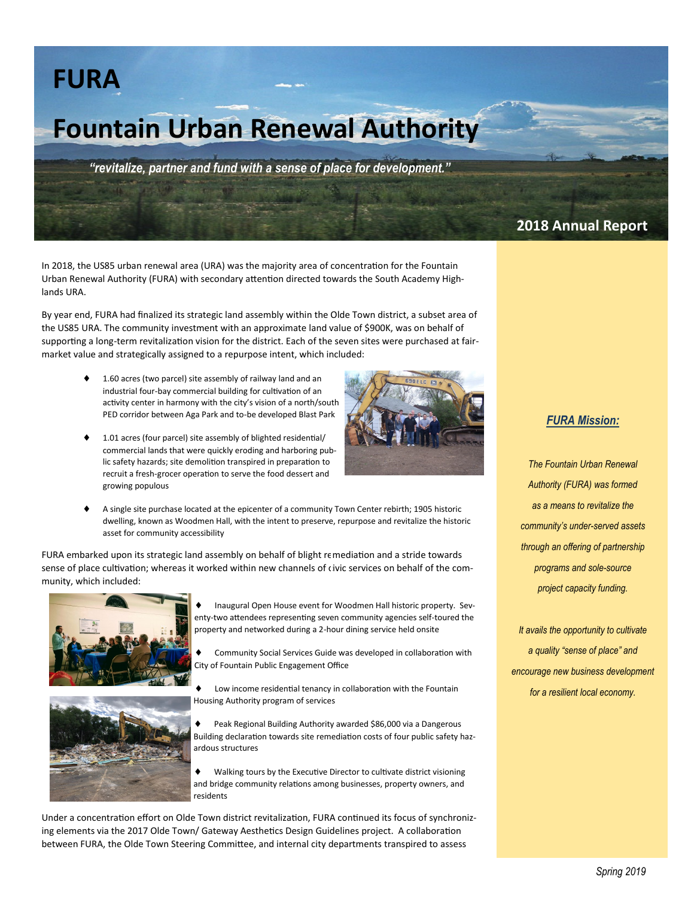## **FURA**

# **Fountain Urban Renewal Authority**

*"revitalize, partner and fund with a sense of place for development."*

### **2018 Annual Report**

In 2018, the US85 urban renewal area (URA) was the majority area of concentration for the Fountain Urban Renewal Authority (FURA) with secondary attention directed towards the South Academy Highlands URA.

By year end, FURA had finalized its strategic land assembly within the Olde Town district, a subset area of the US85 URA. The community investment with an approximate land value of \$900K, was on behalf of supporting a long-term revitalization vision for the district. Each of the seven sites were purchased at fairmarket value and strategically assigned to a repurpose intent, which included:

- 1.60 acres (two parcel) site assembly of railway land and an industrial four-bay commercial building for cultivation of an activity center in harmony with the city's vision of a north/south PED corridor between Aga Park and to-be developed Blast Park
- 1.01 acres (four parcel) site assembly of blighted residential/ commercial lands that were quickly eroding and harboring public safety hazards; site demolition transpired in preparation to recruit a fresh-grocer operation to serve the food dessert and growing populous



 A single site purchase located at the epicenter of a community Town Center rebirth; 1905 historic dwelling, known as Woodmen Hall, with the intent to preserve, repurpose and revitalize the historic asset for community accessibility

FURA embarked upon its strategic land assembly on behalf of blight remediation and a stride towards sense of place cultivation; whereas it worked within new channels of civic services on behalf of the community, which included:





- Inaugural Open House event for Woodmen Hall historic property. Seventy-two attendees representing seven community agencies self-toured the property and networked during a 2-hour dining service held onsite
- Community Social Services Guide was developed in collaboration with City of Fountain Public Engagement Office
- Low income residential tenancy in collaboration with the Fountain Housing Authority program of services
- Peak Regional Building Authority awarded \$86,000 via a Dangerous Building declaration towards site remediation costs of four public safety hazardous structures
- Walking tours by the Executive Director to cultivate district visioning and bridge community relations among businesses, property owners, and residents

Under a concentration effort on Olde Town district revitalization, FURA continued its focus of synchronizing elements via the 2017 Olde Town/ Gateway Aesthetics Design Guidelines project. A collaboration between FURA, the Olde Town Steering Committee, and internal city departments transpired to assess

#### *FURA Mission:*

*The Fountain Urban Renewal Authority (FURA) was formed as a means to revitalize the community's under-served assets through an offering of partnership programs and sole-source project capacity funding.*

*It avails the opportunity to cultivate a quality "sense of place" and encourage new business development for a resilient local economy.*